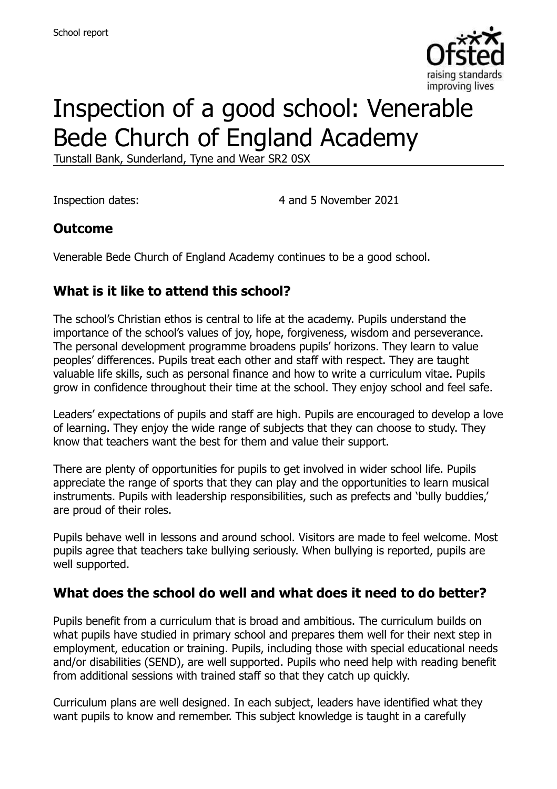

# Inspection of a good school: Venerable Bede Church of England Academy

Tunstall Bank, Sunderland, Tyne and Wear SR2 0SX

Inspection dates: 4 and 5 November 2021

## **Outcome**

Venerable Bede Church of England Academy continues to be a good school.

## **What is it like to attend this school?**

The school's Christian ethos is central to life at the academy. Pupils understand the importance of the school's values of joy, hope, forgiveness, wisdom and perseverance. The personal development programme broadens pupils' horizons. They learn to value peoples' differences. Pupils treat each other and staff with respect. They are taught valuable life skills, such as personal finance and how to write a curriculum vitae. Pupils grow in confidence throughout their time at the school. They enjoy school and feel safe.

Leaders' expectations of pupils and staff are high. Pupils are encouraged to develop a love of learning. They enjoy the wide range of subjects that they can choose to study. They know that teachers want the best for them and value their support.

There are plenty of opportunities for pupils to get involved in wider school life. Pupils appreciate the range of sports that they can play and the opportunities to learn musical instruments. Pupils with leadership responsibilities, such as prefects and 'bully buddies,' are proud of their roles.

Pupils behave well in lessons and around school. Visitors are made to feel welcome. Most pupils agree that teachers take bullying seriously. When bullying is reported, pupils are well supported.

### **What does the school do well and what does it need to do better?**

Pupils benefit from a curriculum that is broad and ambitious. The curriculum builds on what pupils have studied in primary school and prepares them well for their next step in employment, education or training. Pupils, including those with special educational needs and/or disabilities (SEND), are well supported. Pupils who need help with reading benefit from additional sessions with trained staff so that they catch up quickly.

Curriculum plans are well designed. In each subject, leaders have identified what they want pupils to know and remember. This subject knowledge is taught in a carefully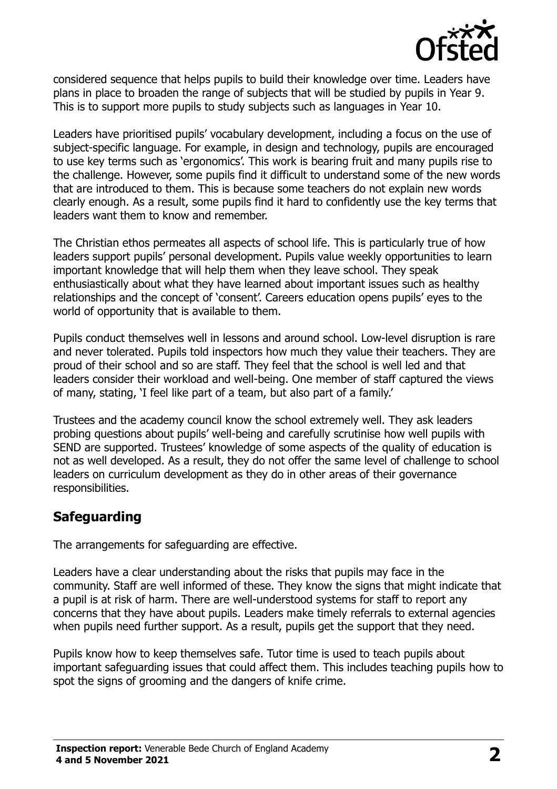

considered sequence that helps pupils to build their knowledge over time. Leaders have plans in place to broaden the range of subjects that will be studied by pupils in Year 9. This is to support more pupils to study subjects such as languages in Year 10.

Leaders have prioritised pupils' vocabulary development, including a focus on the use of subject-specific language. For example, in design and technology, pupils are encouraged to use key terms such as 'ergonomics'. This work is bearing fruit and many pupils rise to the challenge. However, some pupils find it difficult to understand some of the new words that are introduced to them. This is because some teachers do not explain new words clearly enough. As a result, some pupils find it hard to confidently use the key terms that leaders want them to know and remember.

The Christian ethos permeates all aspects of school life. This is particularly true of how leaders support pupils' personal development. Pupils value weekly opportunities to learn important knowledge that will help them when they leave school. They speak enthusiastically about what they have learned about important issues such as healthy relationships and the concept of 'consent'. Careers education opens pupils' eyes to the world of opportunity that is available to them.

Pupils conduct themselves well in lessons and around school. Low-level disruption is rare and never tolerated. Pupils told inspectors how much they value their teachers. They are proud of their school and so are staff. They feel that the school is well led and that leaders consider their workload and well-being. One member of staff captured the views of many, stating, 'I feel like part of a team, but also part of a family.'

Trustees and the academy council know the school extremely well. They ask leaders probing questions about pupils' well-being and carefully scrutinise how well pupils with SEND are supported. Trustees' knowledge of some aspects of the quality of education is not as well developed. As a result, they do not offer the same level of challenge to school leaders on curriculum development as they do in other areas of their governance responsibilities.

## **Safeguarding**

The arrangements for safeguarding are effective.

Leaders have a clear understanding about the risks that pupils may face in the community. Staff are well informed of these. They know the signs that might indicate that a pupil is at risk of harm. There are well-understood systems for staff to report any concerns that they have about pupils. Leaders make timely referrals to external agencies when pupils need further support. As a result, pupils get the support that they need.

Pupils know how to keep themselves safe. Tutor time is used to teach pupils about important safeguarding issues that could affect them. This includes teaching pupils how to spot the signs of grooming and the dangers of knife crime.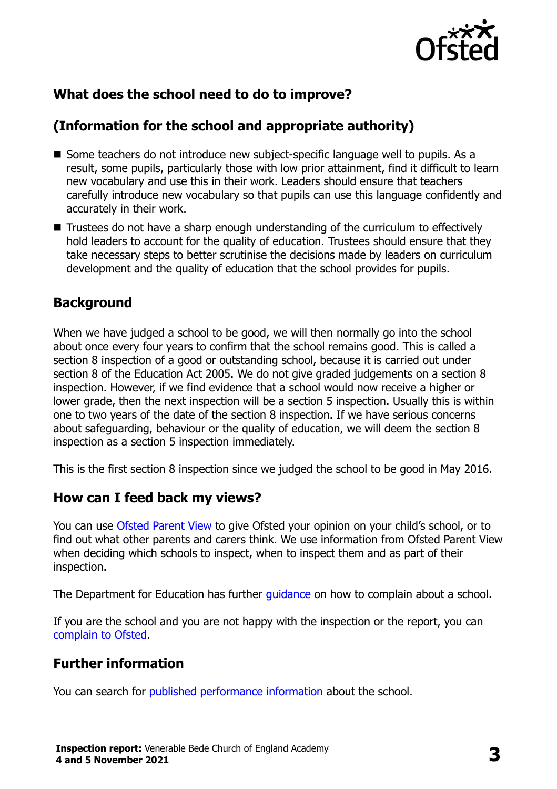

## **What does the school need to do to improve?**

## **(Information for the school and appropriate authority)**

- Some teachers do not introduce new subject-specific language well to pupils. As a result, some pupils, particularly those with low prior attainment, find it difficult to learn new vocabulary and use this in their work. Leaders should ensure that teachers carefully introduce new vocabulary so that pupils can use this language confidently and accurately in their work.
- Trustees do not have a sharp enough understanding of the curriculum to effectively hold leaders to account for the quality of education. Trustees should ensure that they take necessary steps to better scrutinise the decisions made by leaders on curriculum development and the quality of education that the school provides for pupils.

### **Background**

When we have judged a school to be good, we will then normally go into the school about once every four years to confirm that the school remains good. This is called a section 8 inspection of a good or outstanding school, because it is carried out under section 8 of the Education Act 2005. We do not give graded judgements on a section 8 inspection. However, if we find evidence that a school would now receive a higher or lower grade, then the next inspection will be a section 5 inspection. Usually this is within one to two years of the date of the section 8 inspection. If we have serious concerns about safeguarding, behaviour or the quality of education, we will deem the section 8 inspection as a section 5 inspection immediately.

This is the first section 8 inspection since we judged the school to be good in May 2016.

### **How can I feed back my views?**

You can use [Ofsted Parent View](https://parentview.ofsted.gov.uk/) to give Ofsted your opinion on your child's school, or to find out what other parents and carers think. We use information from Ofsted Parent View when deciding which schools to inspect, when to inspect them and as part of their inspection.

The Department for Education has further quidance on how to complain about a school.

If you are the school and you are not happy with the inspection or the report, you can [complain to Ofsted.](https://www.gov.uk/complain-ofsted-report)

## **Further information**

You can search for [published performance information](http://www.compare-school-performance.service.gov.uk/) about the school.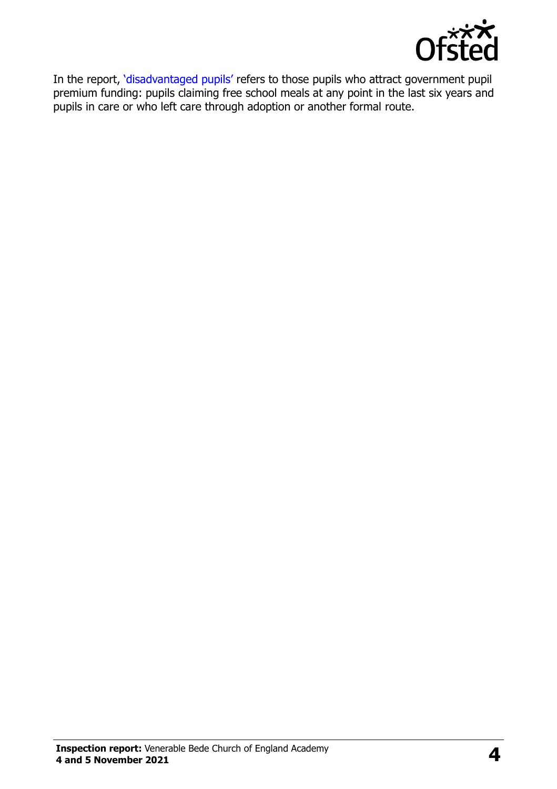

In the report, '[disadvantaged pupils](http://www.gov.uk/guidance/pupil-premium-information-for-schools-and-alternative-provision-settings)' refers to those pupils who attract government pupil premium funding: pupils claiming free school meals at any point in the last six years and pupils in care or who left care through adoption or another formal route.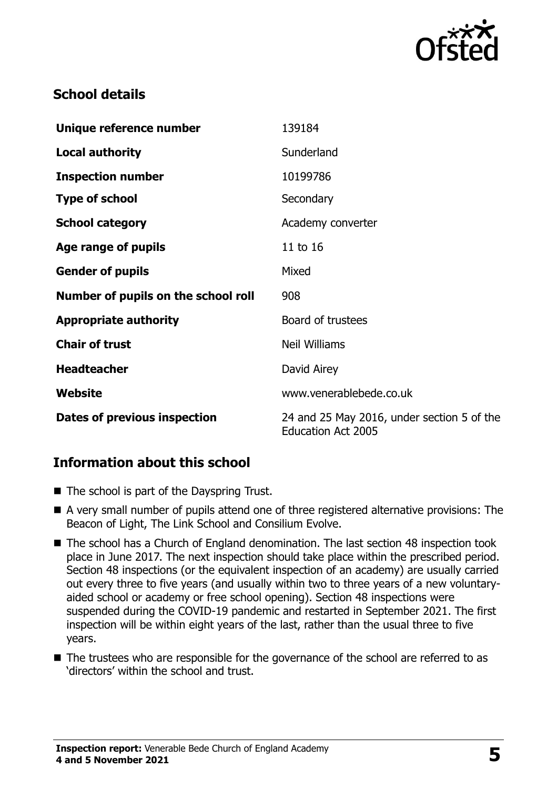

## **School details**

| Unique reference number             | 139184                                                                  |
|-------------------------------------|-------------------------------------------------------------------------|
| <b>Local authority</b>              | Sunderland                                                              |
| <b>Inspection number</b>            | 10199786                                                                |
| <b>Type of school</b>               | Secondary                                                               |
| <b>School category</b>              | Academy converter                                                       |
| Age range of pupils                 | 11 to 16                                                                |
| <b>Gender of pupils</b>             | Mixed                                                                   |
| Number of pupils on the school roll | 908                                                                     |
| <b>Appropriate authority</b>        | Board of trustees                                                       |
| <b>Chair of trust</b>               | <b>Neil Williams</b>                                                    |
| <b>Headteacher</b>                  | David Airey                                                             |
| Website                             | www.venerablebede.co.uk                                                 |
| Dates of previous inspection        | 24 and 25 May 2016, under section 5 of the<br><b>Education Act 2005</b> |

## **Information about this school**

- The school is part of the Dayspring Trust.
- A very small number of pupils attend one of three registered alternative provisions: The Beacon of Light, The Link School and Consilium Evolve.
- The school has a Church of England denomination. The last section 48 inspection took place in June 2017. The next inspection should take place within the prescribed period. Section 48 inspections (or the equivalent inspection of an academy) are usually carried out every three to five years (and usually within two to three years of a new voluntaryaided school or academy or free school opening). Section 48 inspections were suspended during the COVID-19 pandemic and restarted in September 2021. The first inspection will be within eight years of the last, rather than the usual three to five years.
- The trustees who are responsible for the governance of the school are referred to as 'directors' within the school and trust.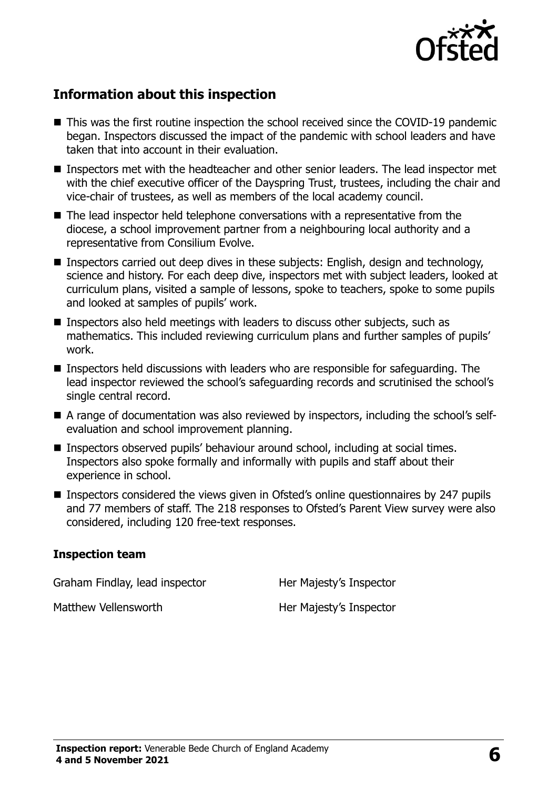

## **Information about this inspection**

- This was the first routine inspection the school received since the COVID-19 pandemic began. Inspectors discussed the impact of the pandemic with school leaders and have taken that into account in their evaluation.
- Inspectors met with the headteacher and other senior leaders. The lead inspector met with the chief executive officer of the Dayspring Trust, trustees, including the chair and vice-chair of trustees, as well as members of the local academy council.
- The lead inspector held telephone conversations with a representative from the diocese, a school improvement partner from a neighbouring local authority and a representative from Consilium Evolve.
- Inspectors carried out deep dives in these subjects: English, design and technology, science and history. For each deep dive, inspectors met with subject leaders, looked at curriculum plans, visited a sample of lessons, spoke to teachers, spoke to some pupils and looked at samples of pupils' work.
- Inspectors also held meetings with leaders to discuss other subjects, such as mathematics. This included reviewing curriculum plans and further samples of pupils' work.
- Inspectors held discussions with leaders who are responsible for safeguarding. The lead inspector reviewed the school's safeguarding records and scrutinised the school's single central record.
- A range of documentation was also reviewed by inspectors, including the school's selfevaluation and school improvement planning.
- Inspectors observed pupils' behaviour around school, including at social times. Inspectors also spoke formally and informally with pupils and staff about their experience in school.
- Inspectors considered the views given in Ofsted's online questionnaires by 247 pupils and 77 members of staff. The 218 responses to Ofsted's Parent View survey were also considered, including 120 free-text responses.

#### **Inspection team**

Graham Findlay, lead inspector **Her Majesty's Inspector** 

Matthew Vellensworth Her Majesty's Inspector